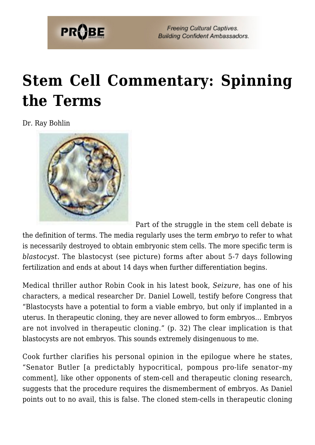

## **[Stem Cell Commentary: Spinning](https://probe.org/stem-cell-commentary-spinning-the-terms/) [the Terms](https://probe.org/stem-cell-commentary-spinning-the-terms/)**

Dr. Ray Bohlin



Part of the struggle in the stem cell debate is

the definition of terms. The media regularly uses the term *embryo* to refer to what is necessarily destroyed to obtain embryonic stem cells. The more specific term is *blastocyst*. The blastocyst (see picture) forms after about 5-7 days following fertilization and ends at about 14 days when further differentiation begins.

Medical thriller author Robin Cook in his latest book, *Seizure*, has one of his characters, a medical researcher Dr. Daniel Lowell, testify before Congress that "Blastocysts have a potential to form a viable embryo, but only if implanted in a uterus. In therapeutic cloning, they are never allowed to form embryos… Embryos are not involved in therapeutic cloning." (p. 32) The clear implication is that blastocysts are not embryos. This sounds extremely disingenuous to me.

Cook further clarifies his personal opinion in the epilogue where he states, "Senator Butler [a predictably hypocritical, pompous pro-life senator–my comment], like other opponents of stem-cell and therapeutic cloning research, suggests that the procedure requires the dismemberment of embryos. As Daniel points out to no avail, this is false. The cloned stem-cells in therapeutic cloning